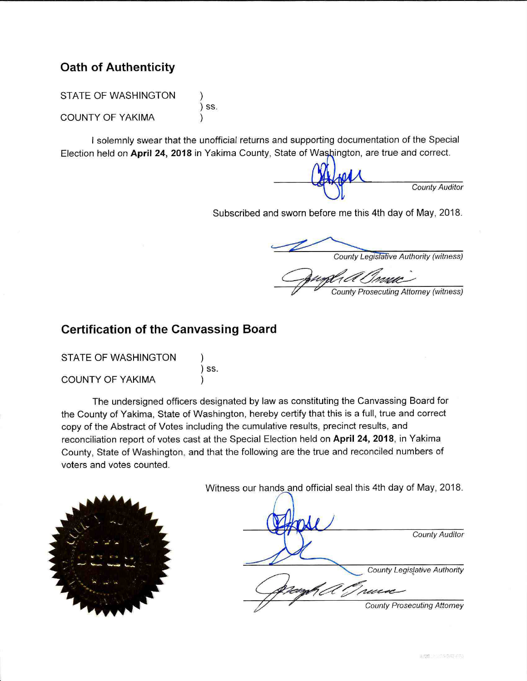# **Oath of Authenticity**

STATE OF WASHINGTON  $)$  SS. COUNTY OF YAKIMA

I solemnly swear that the unofficial returns and supporting documentation of the Special Election held on April 24, 2018 in Yakima County, State of Washington, are true and correct.

County Auditor

Subscribed and sworn before me this 4th day of May, 2018.

County Legislative Authority (witness)

### **County Prosecuting Attorney (witness)**

## **Certification of the Canvassing Board**

SS.

| <b>STATE OF WASHINGTON</b> |  |
|----------------------------|--|
|                            |  |
| <b>COUNTY OF YAKIMA</b>    |  |

The undersigned officers designated by law as constituting the Canvassing Board for the County of Yakima, State of Washington, hereby certify that this is a full, true and correct copy of the Abstract of Votes including the cumulative results, precinct results, and reconciliation report of votes cast at the Special Election held on April 24, 2018, in Yakima County, State of Washington, and that the following are the true and reconciled numbers of voters and votes counted.



Witness our hands and official seal this 4th day of May, 2018.

| <b>County Auditor</b>                                    |
|----------------------------------------------------------|
| <b>County Legislative Authority</b><br>$^{\prime\prime}$ |
| <b>County Prosecuting Attomey</b>                        |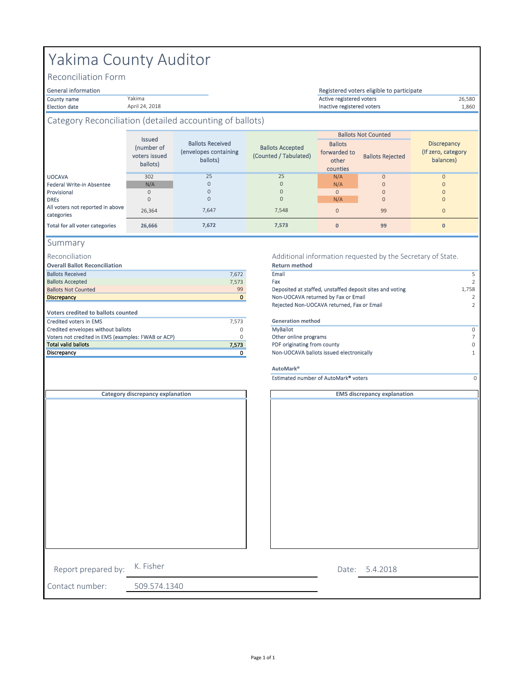# Yakima County Auditor

Yakima April 24, 2018

Reconciliation Form

#### General information

Election date 1,860 Inactive registered voters

#### County name 26,580 Active registered voters Registered voters eligible to participate

### Category Reconciliation (detailed accounting of ballots)

|                                                | <b>Issued</b><br>(number of<br>voters issued<br>ballots) | <b>Ballots Received</b><br>(envelopes containing<br>ballots) | <b>Ballots Accepted</b><br>(Counted / Tabulated) | <b>Ballots</b><br>forwarded to<br>other<br>counties | <b>Ballots Not Counted</b><br><b>Ballots Rejected</b> | <b>Discrepancy</b><br>(If zero, category)<br>balances) |
|------------------------------------------------|----------------------------------------------------------|--------------------------------------------------------------|--------------------------------------------------|-----------------------------------------------------|-------------------------------------------------------|--------------------------------------------------------|
| <b>UOCAVA</b>                                  | 302                                                      | 25                                                           | 25                                               | N/A                                                 | $\mathbf{O}$                                          | $\Omega$                                               |
| Federal Write-in Absentee                      | N/A                                                      | $\mathbf{0}$                                                 | $\mathbf{0}$                                     | N/A                                                 | $\mathbf{0}$                                          |                                                        |
| Provisional                                    | $\Omega$                                                 | $\mathbf{0}$                                                 | $\Omega$                                         | $\mathbf{O}$                                        | $\mathbf{0}$                                          |                                                        |
| <b>DRES</b>                                    | $\mathbf{0}$                                             | $\mathbf{0}$                                                 | $\mathbf{0}$                                     | N/A                                                 | $\mathbf{O}$                                          | $\Omega$                                               |
| All voters not reported in above<br>categories | 26.364                                                   | 7,647                                                        | 7,548                                            | $\mathbf{0}$                                        | 99                                                    | $\Omega$                                               |
| Total for all voter categories                 | 26.666                                                   | 7,672                                                        | 7,573                                            | $\mathbf{0}$                                        | 99                                                    | $\mathbf{0}$                                           |

#### Summary

#### Reconciliation

**Overall Ballot Reconciliation**

| 7.672 | Email                        |
|-------|------------------------------|
| 7.573 | Fax                          |
| 99    | Deposited at staffed, unstaf |
| 0     | Non-UOCAVA returned by F     |
|       | Rejected Non-UOCAVA retu     |
|       |                              |
| 7.573 | <b>Generation method</b>     |
| 0     | <b>MyBallot</b>              |
| O     | Other online programs        |
| 7,573 | PDF originating from county  |
| 0     | Non-UOCAVA ballots issued    |
|       |                              |

#### Additional information requested by the Secretary of State. **Return method**

| <b>Ballots Received</b>                            | 7,672    | Email                                                    |               |
|----------------------------------------------------|----------|----------------------------------------------------------|---------------|
| <b>Ballots Accepted</b>                            | 7,573    | Fax                                                      |               |
| <b>Ballots Not Counted</b>                         | 99       | Deposited at staffed, unstaffed deposit sites and voting | 1,758         |
| <b>Discrepancy</b>                                 | $\Omega$ | Non-UOCAVA returned by Fax or Email                      | $\mathcal{P}$ |
|                                                    |          | Rejected Non-UOCAVA returned, Fax or Email               |               |
| <b>Voters credited to ballots counted</b>          |          |                                                          |               |
| Credited voters in EMS                             | 7,573    | <b>Generation method</b>                                 |               |
| Credited envelopes without ballots                 |          | MyBallot                                                 |               |
| Voters not credited in EMS (examples: FWAB or ACP) |          | Other online programs                                    |               |
| Total valid ballots                                | 7,573    | PDF originating from county                              | $\Omega$      |
| Discrepancy                                        |          | Non-UOCAVA ballots issued electronically                 |               |
|                                                    |          | AutoMark <sup>®</sup>                                    |               |
|                                                    |          | Estimated number of AutoMark <sup>®</sup> voters         |               |
| Category discrepancy explanation                   |          | <b>EMS discrepancy explanation</b>                       |               |
|                                                    |          |                                                          |               |

|                     | Category discrepancy explanation |  |
|---------------------|----------------------------------|--|
|                     |                                  |  |
|                     |                                  |  |
|                     |                                  |  |
|                     |                                  |  |
|                     |                                  |  |
|                     |                                  |  |
|                     |                                  |  |
|                     |                                  |  |
|                     |                                  |  |
|                     |                                  |  |
|                     |                                  |  |
|                     |                                  |  |
|                     |                                  |  |
|                     |                                  |  |
|                     |                                  |  |
|                     |                                  |  |
|                     |                                  |  |
|                     | K. Fisher                        |  |
| Report prepared by: |                                  |  |
| Contact number:     | 509.574.1340                     |  |

5.4.2018 Date: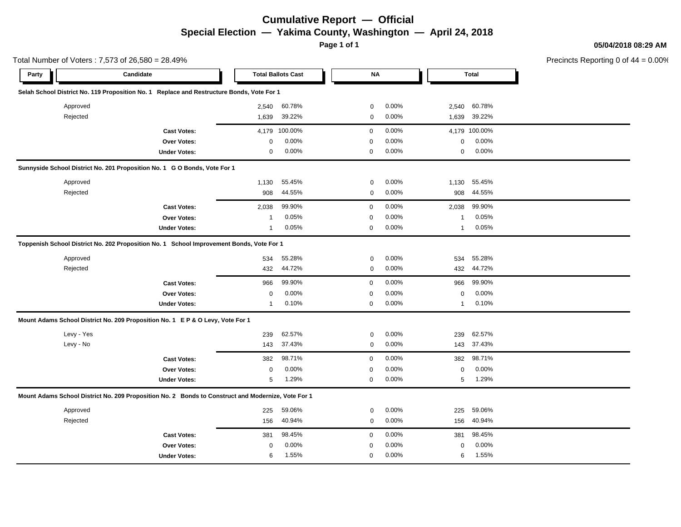# **Cumulative Report — Official Special Election — Yakima County, Washington — April 24, 2018**

**Page 1 of 1**

Total Number of Voters : 7,573 of 26,580 = 28.49%

**05/04/2018 08:29 AM**

Precincts Reporting 0 of 44 = 0.00%

| Party | Candidate                                                                                          |                     |              | <b>Total Ballots Cast</b> | <b>NA</b>   |       |              | <b>Total</b>  |  |
|-------|----------------------------------------------------------------------------------------------------|---------------------|--------------|---------------------------|-------------|-------|--------------|---------------|--|
|       | Selah School District No. 119 Proposition No. 1 Replace and Restructure Bonds, Vote For 1          |                     |              |                           |             |       |              |               |  |
|       | Approved                                                                                           |                     | 2,540        | 60.78%                    | 0           | 0.00% | 2,540        | 60.78%        |  |
|       | Rejected                                                                                           |                     | 1,639        | 39.22%                    | 0           | 0.00% | 1,639        | 39.22%        |  |
|       |                                                                                                    | <b>Cast Votes:</b>  | 4,179        | 100.00%                   | $\mathbf 0$ | 0.00% |              | 4,179 100.00% |  |
|       |                                                                                                    | Over Votes:         | 0            | 0.00%                     | $\mathbf 0$ | 0.00% | 0            | 0.00%         |  |
|       |                                                                                                    | <b>Under Votes:</b> | 0            | 0.00%                     | $\mathbf 0$ | 0.00% | 0            | 0.00%         |  |
|       | Sunnyside School District No. 201 Proposition No. 1 G O Bonds, Vote For 1                          |                     |              |                           |             |       |              |               |  |
|       | Approved                                                                                           |                     | 1,130        | 55.45%                    | $\mathbf 0$ | 0.00% | 1,130        | 55.45%        |  |
|       | Rejected                                                                                           |                     | 908          | 44.55%                    | $\mathbf 0$ | 0.00% | 908          | 44.55%        |  |
|       |                                                                                                    | <b>Cast Votes:</b>  | 2,038        | 99.90%                    | $\mathbf 0$ | 0.00% | 2,038        | 99.90%        |  |
|       |                                                                                                    | Over Votes:         | $\mathbf{1}$ | 0.05%                     | $\mathbf 0$ | 0.00% | 1            | 0.05%         |  |
|       |                                                                                                    | <b>Under Votes:</b> | $\mathbf{1}$ | 0.05%                     | $\mathbf 0$ | 0.00% | $\mathbf{1}$ | 0.05%         |  |
|       | Toppenish School District No. 202 Proposition No. 1 School Improvement Bonds, Vote For 1           |                     |              |                           |             |       |              |               |  |
|       | Approved                                                                                           |                     | 534          | 55.28%                    | $\mathbf 0$ | 0.00% | 534          | 55.28%        |  |
|       | Rejected                                                                                           |                     | 432          | 44.72%                    | 0           | 0.00% | 432          | 44.72%        |  |
|       |                                                                                                    | <b>Cast Votes:</b>  | 966          | 99.90%                    | $\mathbf 0$ | 0.00% | 966          | 99.90%        |  |
|       |                                                                                                    | Over Votes:         | 0            | 0.00%                     | $\mathbf 0$ | 0.00% | $\mathbf 0$  | 0.00%         |  |
|       |                                                                                                    | <b>Under Votes:</b> | $\mathbf 1$  | 0.10%                     | $\mathbf 0$ | 0.00% | $\mathbf{1}$ | 0.10%         |  |
|       | Mount Adams School District No. 209 Proposition No. 1 E P & O Levy, Vote For 1                     |                     |              |                           |             |       |              |               |  |
|       | Levy - Yes                                                                                         |                     | 239          | 62.57%                    | $\mathbf 0$ | 0.00% | 239          | 62.57%        |  |
|       | Levy - No                                                                                          |                     | 143          | 37.43%                    | 0           | 0.00% | 143          | 37.43%        |  |
|       |                                                                                                    | <b>Cast Votes:</b>  | 382          | 98.71%                    | $\mathbf 0$ | 0.00% | 382          | 98.71%        |  |
|       |                                                                                                    | Over Votes:         | $\mathbf 0$  | 0.00%                     | $\mathbf 0$ | 0.00% | $\mathbf 0$  | 0.00%         |  |
|       |                                                                                                    | <b>Under Votes:</b> | 5            | 1.29%                     | $\mathbf 0$ | 0.00% | 5            | 1.29%         |  |
|       | Mount Adams School District No. 209 Proposition No. 2 Bonds to Construct and Modernize, Vote For 1 |                     |              |                           |             |       |              |               |  |
|       | Approved                                                                                           |                     | 225          | 59.06%                    | 0           | 0.00% | 225          | 59.06%        |  |
|       | Rejected                                                                                           |                     | 156          | 40.94%                    | 0           | 0.00% | 156          | 40.94%        |  |
|       |                                                                                                    | <b>Cast Votes:</b>  | 381          | 98.45%                    | $\mathbf 0$ | 0.00% | 381          | 98.45%        |  |
|       |                                                                                                    | Over Votes:         | $\Omega$     | 0.00%                     | $\mathbf 0$ | 0.00% | $\mathbf 0$  | 0.00%         |  |
|       |                                                                                                    | <b>Under Votes:</b> | 6            | 1.55%                     | $\mathbf 0$ | 0.00% | 6            | 1.55%         |  |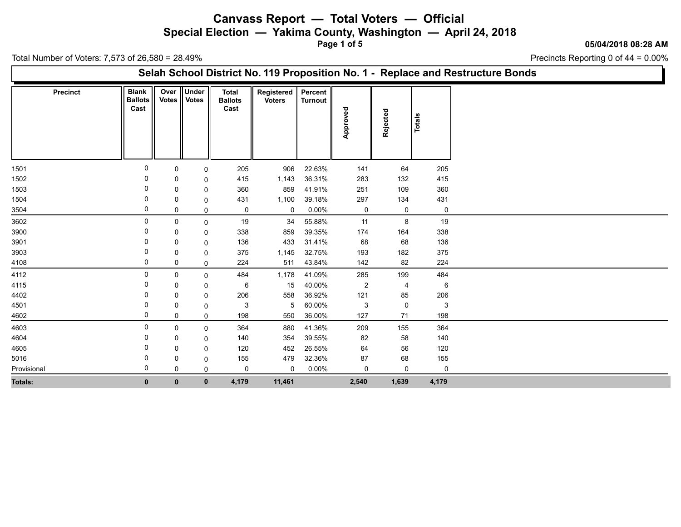**Special Election — Yakima County, Washington — April 24, 2018**

**Page 1 of 5**

#### **05/04/2018 08:28 AM**

Precincts Reporting 0 of 44 = 0.00%

Total Number of Voters: 7,573 of 26,580 = 28.49%

### **Selah School District No. 119 Proposition No. 1 - Replace and Restructure Bonds**

| <b>Precinct</b> | <b>Blank</b><br><b>Ballots</b><br>Cast | Over<br><b>Votes</b> | <b>Under</b><br><b>Votes</b> | <b>Total</b><br><b>Ballots</b><br>Cast | Registered<br><b>Voters</b> | Percent<br>Turnout | Approved     | Rejected | <b>Totals</b> |  |
|-----------------|----------------------------------------|----------------------|------------------------------|----------------------------------------|-----------------------------|--------------------|--------------|----------|---------------|--|
| 1501            | $\mathbf{0}$                           | 0                    | 0                            | 205                                    | 906                         | 22.63%             | 141          | 64       | 205           |  |
| 1502            | $\Omega$                               | 0                    | 0                            | 415                                    | 1,143                       | 36.31%             | 283          | 132      | 415           |  |
| 1503            |                                        | $\mathbf 0$          | 0                            | 360                                    | 859                         | 41.91%             | 251          | 109      | 360           |  |
| 1504            | $\Omega$                               | 0                    | 0                            | 431                                    | 1,100                       | 39.18%             | 297          | 134      | 431           |  |
| 3504            | 0                                      | 0                    | 0                            | 0                                      | 0                           | $0.00\%$           | $\mathbf 0$  | 0        | $\mathbf 0$   |  |
| 3602            | $\Omega$                               | $\mathbf 0$          | 0                            | 19                                     | 34                          | 55.88%             | 11           | 8        | 19            |  |
| 3900            | 0                                      | 0                    | 0                            | 338                                    | 859                         | 39.35%             | 174          | 164      | 338           |  |
| 3901            |                                        | $\mathbf 0$          | 0                            | 136                                    | 433                         | 31.41%             | 68           | 68       | 136           |  |
| 3903            |                                        | 0                    | 0                            | 375                                    | 1,145                       | 32.75%             | 193          | 182      | 375           |  |
| 4108            | 0                                      | 0                    | 0                            | 224                                    | 511                         | 43.84%             | 142          | 82       | 224           |  |
| 4112            | $\Omega$                               | 0                    | 0                            | 484                                    | 1,178                       | 41.09%             | 285          | 199      | 484           |  |
| 4115            |                                        | 0                    | 0                            | 6                                      | 15                          | 40.00%             | $\mathbf{2}$ | 4        | 6             |  |
| 4402            |                                        | 0                    | 0                            | 206                                    | 558                         | 36.92%             | 121          | 85       | 206           |  |
| 4501            |                                        | 0                    | 0                            | 3                                      | 5                           | 60.00%             | $\mathbf{3}$ | 0        | 3             |  |
| 4602            | 0                                      | 0                    | 0                            | 198                                    | 550                         | 36.00%             | 127          | 71       | 198           |  |
| 4603            | $\Omega$                               | 0                    | 0                            | 364                                    | 880                         | 41.36%             | 209          | 155      | 364           |  |
| 4604            |                                        | $\mathbf 0$          | 0                            | 140                                    | 354                         | 39.55%             | 82           | 58       | 140           |  |
| 4605            |                                        | 0                    | 0                            | 120                                    | 452                         | 26.55%             | 64           | 56       | 120           |  |
| 5016            |                                        | 0                    | 0                            | 155                                    | 479                         | 32.36%             | 87           | 68       | 155           |  |
| Provisional     | $\Omega$                               | 0                    | 0                            | 0                                      | $\mathbf 0$                 | $0.00\%$           | $\mathsf 0$  | 0        | $\mathbf 0$   |  |
| <b>Totals:</b>  | $\mathbf 0$                            | $\mathbf{0}$         | $\mathbf 0$                  | 4,179                                  | 11,461                      |                    | 2,540        | 1,639    | 4,179         |  |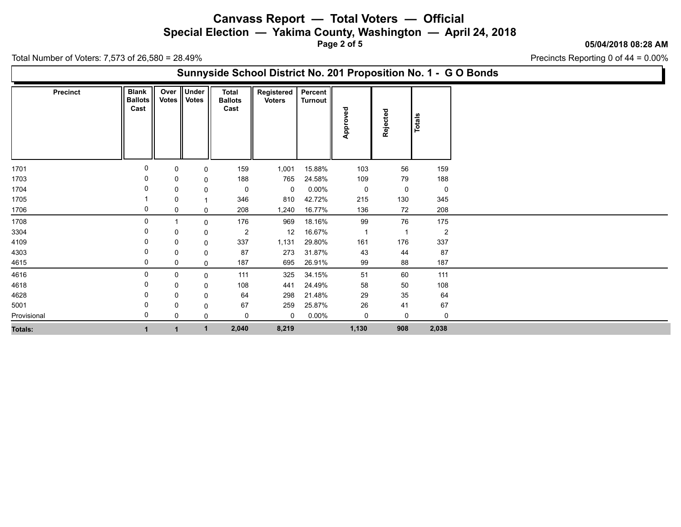**Special Election — Yakima County, Washington — April 24, 2018**

**Page 2 of 5**

#### **05/04/2018 08:28 AM**

Precincts Reporting 0 of 44 = 0.00%

Total Number of Voters: 7,573 of 26,580 = 28.49%

### **Sunnyside School District No. 201 Proposition No. 1 - G O Bonds**

| <b>Precinct</b> | <b>Blank</b><br><b>Ballots</b><br>Cast | Over<br><b>Votes</b> | Under<br><b>Votes</b> | <b>Total</b><br><b>Ballots</b><br>Cast | Registered<br><b>Voters</b> | Percent<br>Turnout | Approved       | Rejected       | Totals         |
|-----------------|----------------------------------------|----------------------|-----------------------|----------------------------------------|-----------------------------|--------------------|----------------|----------------|----------------|
|                 |                                        |                      |                       |                                        |                             |                    |                |                |                |
| 1701            | 0                                      | 0                    | 0                     | 159                                    | 1,001                       | 15.88%             | 103            | 56             | 159            |
| 1703            |                                        | 0                    | 0                     | 188                                    | 765                         | 24.58%             | 109            | 79             | 188            |
| 1704            |                                        | 0                    | 0                     | $\mathbf 0$                            | 0                           | $0.00\%$           | 0              | 0              | $\mathbf 0$    |
| 1705            |                                        | 0                    | $\mathbf{1}$          | 346                                    | 810                         | 42.72%             | 215            | 130            | 345            |
| 1706            | 0                                      | 0                    | 0                     | 208                                    | 1,240                       | 16.77%             | 136            | 72             | 208            |
| 1708            | $\Omega$                               |                      | 0                     | 176                                    | 969                         | 18.16%             | 99             | 76             | 175            |
| 3304            | 0                                      | 0                    | 0                     | $\overline{2}$                         | 12                          | 16.67%             | $\overline{1}$ | $\overline{1}$ | $\overline{2}$ |
| 4109            |                                        | 0                    | 0                     | 337                                    | 1,131                       | 29.80%             | 161            | 176            | 337            |
| 4303            |                                        | 0                    | 0                     | 87                                     | 273                         | 31.87%             | 43             | 44             | 87             |
| 4615            | 0                                      | 0                    | 0                     | 187                                    | 695                         | 26.91%             | 99             | 88             | 187            |
| 4616            | $\Omega$                               | 0                    | 0                     | 111                                    | 325                         | 34.15%             | 51             | 60             | 111            |
| 4618            |                                        | 0                    | 0                     | 108                                    | 441                         | 24.49%             | 58             | $50\,$         | 108            |
| 4628            |                                        | 0                    | 0                     | 64                                     | 298                         | 21.48%             | 29             | 35             | 64             |
| 5001            |                                        | 0                    | 0                     | 67                                     | 259                         | 25.87%             | 26             | 41             | 67             |
| Provisional     |                                        | 0                    | 0                     | 0                                      | $\mathbf 0$                 | $0.00\%$           | 0              | 0              | 0              |
| <b>Totals:</b>  |                                        |                      | $\mathbf{1}$          | 2,040                                  | 8,219                       |                    | 1,130          | 908            | 2,038          |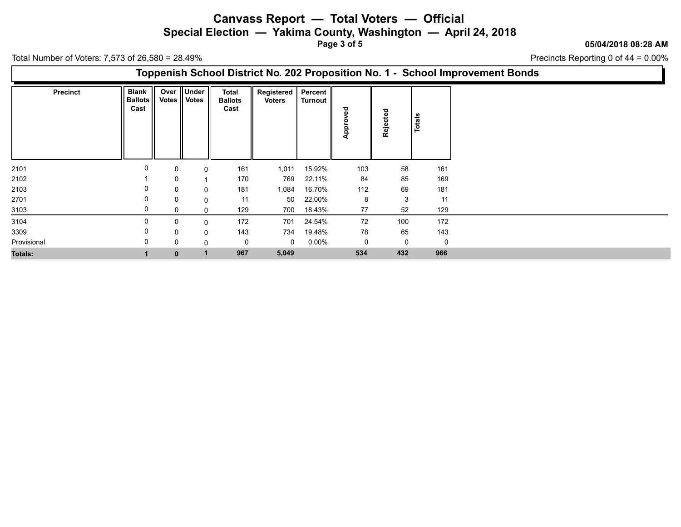**Special Election — Yakima County, Washington — April 24, 2018**

**Page 3 of 5**

### **05/04/2018 08:28 AM**

Precincts Reporting 0 of 44 = 0.00%

Total Number of Voters: 7,573 of 26,580 = 28.49%

### **Toppenish School District No. 202 Proposition No. 1 - School Improvement Bonds**

| <b>Precinct</b> | Blank  <br><b>Ballots</b><br>Cast |              | Over Under<br>Votes    Votes | <b>Total</b><br><b>Ballots</b><br>Cast | Registered<br><b>Voters</b> | Percent  <br>Turnout | ਠ<br>n<br>o<br><b>Appr</b> | Rejected    | Totals      |
|-----------------|-----------------------------------|--------------|------------------------------|----------------------------------------|-----------------------------|----------------------|----------------------------|-------------|-------------|
| 2101            | 0                                 | 0            | $\Omega$                     | 161                                    | 1,011                       | 15.92%               | 103                        | 58          | 161         |
| 2102            |                                   | $\Omega$     |                              | 170                                    | 769                         | 22.11%               | 84                         | 85          | 169         |
| 2103            |                                   | $\Omega$     | $\Omega$                     | 181                                    | 1,084                       | 16.70%               | 112                        | 69          | 181         |
| 2701            |                                   | $\Omega$     | $\mathbf 0$                  | 11                                     | 50                          | 22.00%               | 8                          | 3           | 11          |
| 3103            |                                   | $\Omega$     | $\Omega$                     | 129                                    | 700                         | 18.43%               | 77                         | 52          | 129         |
| 3104            |                                   | $\Omega$     | $\Omega$                     | 172                                    | 701                         | 24.54%               | 72                         | 100         | 172         |
| 3309            |                                   | $\mathbf{0}$ | $\Omega$                     | 143                                    | 734                         | 19.48%               | 78                         | 65          | 143         |
| Provisional     |                                   | 0            | $\mathbf 0$                  | 0                                      | $\mathbf 0$                 | $0.00\%$             | 0                          | $\mathbf 0$ | $\mathbf 0$ |
| <b>Totals:</b>  |                                   | $\bf{0}$     | $\mathbf{1}$                 | 967                                    | 5,049                       |                      | 534                        | 432         | 966         |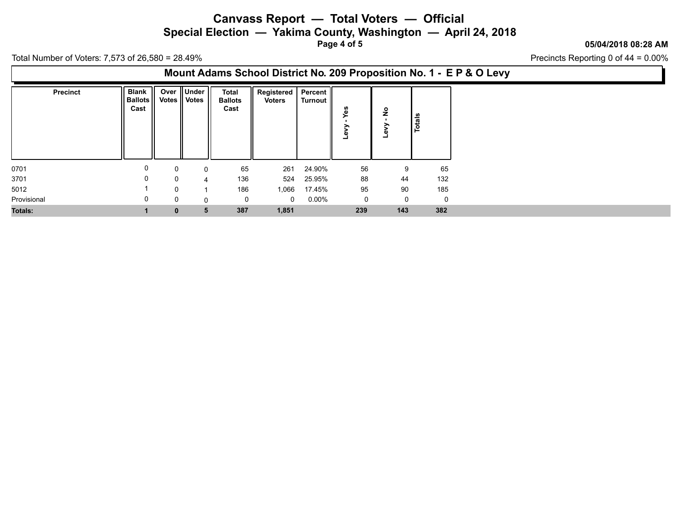**Special Election — Yakima County, Washington — April 24, 2018**

**Page 4 of 5**

### **05/04/2018 08:28 AM**

Precincts Reporting 0 of 44 = 0.00%

Total Number of Voters: 7,573 of 26,580 = 28.49%

### **Mount Adams School District No. 209 Proposition No. 1 - E P & O Levy**

| <b>Precinct</b> | <b>Blank</b><br><b>Ballots</b><br>Cast | Votes    | Over    Under   <br><b>Votes</b> | <b>Total</b><br><b>Ballots</b><br>Cast | Registered   Percent   <br><b>Voters</b> | Turnout  | -            | ş<br>∽<br>ω<br>۳ | Totals |
|-----------------|----------------------------------------|----------|----------------------------------|----------------------------------------|------------------------------------------|----------|--------------|------------------|--------|
| 0701            | 0                                      | 0        | 0                                | 65                                     | 261                                      | 24.90%   | 56           | 9                | 65     |
| 3701            | $\Omega$                               | $\Omega$ | Δ                                | 136                                    | 524                                      | 25.95%   | 88           | 44               | 132    |
| 5012            |                                        | $\Omega$ |                                  | 186                                    | 1,066                                    | 17.45%   | 95           | 90               | 185    |
| Provisional     | 0                                      | 0        |                                  | 0                                      | $\Omega$                                 | $0.00\%$ | $\mathsf{O}$ | 0                | 0      |
| <b>Totals:</b>  |                                        | $\bf{0}$ | 5                                | 387                                    | 1,851                                    |          | 239          | 143              | 382    |